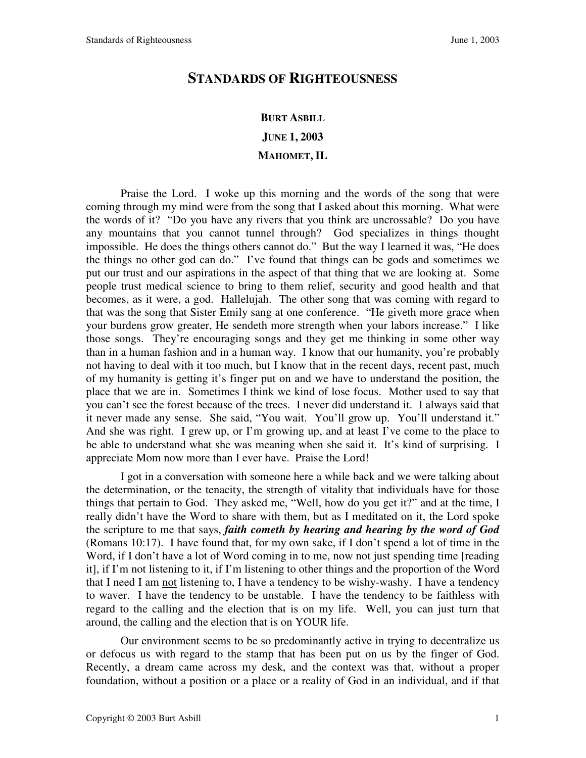## **STANDARDS OF RIGHTEOUSNESS**

## **BURT ASBILL JUNE 1, 2003**

## **MAHOMET, IL**

Praise the Lord. I woke up this morning and the words of the song that were coming through my mind were from the song that I asked about this morning. What were the words of it? "Do you have any rivers that you think are uncrossable? Do you have any mountains that you cannot tunnel through? God specializes in things thought impossible. He does the things others cannot do." But the way I learned it was, "He does the things no other god can do." I've found that things can be gods and sometimes we put our trust and our aspirations in the aspect of that thing that we are looking at. Some people trust medical science to bring to them relief, security and good health and that becomes, as it were, a god. Hallelujah. The other song that was coming with regard to that was the song that Sister Emily sang at one conference. "He giveth more grace when your burdens grow greater, He sendeth more strength when your labors increase." I like those songs. They're encouraging songs and they get me thinking in some other way than in a human fashion and in a human way. I know that our humanity, you're probably not having to deal with it too much, but I know that in the recent days, recent past, much of my humanity is getting it's finger put on and we have to understand the position, the place that we are in. Sometimes I think we kind of lose focus. Mother used to say that you can't see the forest because of the trees. I never did understand it. I always said that it never made any sense. She said, "You wait. You'll grow up. You'll understand it." And she was right. I grew up, or I'm growing up, and at least I've come to the place to be able to understand what she was meaning when she said it. It's kind of surprising. I appreciate Mom now more than I ever have. Praise the Lord!

I got in a conversation with someone here a while back and we were talking about the determination, or the tenacity, the strength of vitality that individuals have for those things that pertain to God. They asked me, "Well, how do you get it?" and at the time, I really didn't have the Word to share with them, but as I meditated on it, the Lord spoke the scripture to me that says, *faith cometh by hearing and hearing by the word of God* (Romans 10:17). I have found that, for my own sake, if I don't spend a lot of time in the Word, if I don't have a lot of Word coming in to me, now not just spending time [reading it], if I'm not listening to it, if I'm listening to other things and the proportion of the Word that I need I am not listening to, I have a tendency to be wishy-washy. I have a tendency to waver. I have the tendency to be unstable. I have the tendency to be faithless with regard to the calling and the election that is on my life. Well, you can just turn that around, the calling and the election that is on YOUR life.

 Our environment seems to be so predominantly active in trying to decentralize us or defocus us with regard to the stamp that has been put on us by the finger of God. Recently, a dream came across my desk, and the context was that, without a proper foundation, without a position or a place or a reality of God in an individual, and if that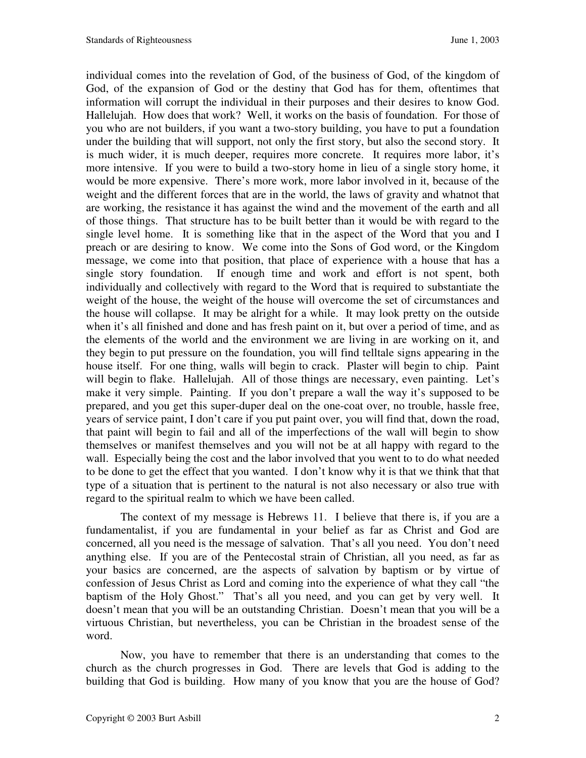individual comes into the revelation of God, of the business of God, of the kingdom of God, of the expansion of God or the destiny that God has for them, oftentimes that information will corrupt the individual in their purposes and their desires to know God. Hallelujah. How does that work? Well, it works on the basis of foundation. For those of you who are not builders, if you want a two-story building, you have to put a foundation under the building that will support, not only the first story, but also the second story. It is much wider, it is much deeper, requires more concrete. It requires more labor, it's more intensive. If you were to build a two-story home in lieu of a single story home, it would be more expensive. There's more work, more labor involved in it, because of the weight and the different forces that are in the world, the laws of gravity and whatnot that are working, the resistance it has against the wind and the movement of the earth and all of those things. That structure has to be built better than it would be with regard to the single level home. It is something like that in the aspect of the Word that you and I preach or are desiring to know. We come into the Sons of God word, or the Kingdom message, we come into that position, that place of experience with a house that has a single story foundation. If enough time and work and effort is not spent, both individually and collectively with regard to the Word that is required to substantiate the weight of the house, the weight of the house will overcome the set of circumstances and the house will collapse. It may be alright for a while. It may look pretty on the outside when it's all finished and done and has fresh paint on it, but over a period of time, and as the elements of the world and the environment we are living in are working on it, and they begin to put pressure on the foundation, you will find telltale signs appearing in the house itself. For one thing, walls will begin to crack. Plaster will begin to chip. Paint will begin to flake. Hallelujah. All of those things are necessary, even painting. Let's make it very simple. Painting. If you don't prepare a wall the way it's supposed to be prepared, and you get this super-duper deal on the one-coat over, no trouble, hassle free, years of service paint, I don't care if you put paint over, you will find that, down the road, that paint will begin to fail and all of the imperfections of the wall will begin to show themselves or manifest themselves and you will not be at all happy with regard to the wall. Especially being the cost and the labor involved that you went to to do what needed to be done to get the effect that you wanted. I don't know why it is that we think that that type of a situation that is pertinent to the natural is not also necessary or also true with regard to the spiritual realm to which we have been called.

 The context of my message is Hebrews 11. I believe that there is, if you are a fundamentalist, if you are fundamental in your belief as far as Christ and God are concerned, all you need is the message of salvation. That's all you need. You don't need anything else. If you are of the Pentecostal strain of Christian, all you need, as far as your basics are concerned, are the aspects of salvation by baptism or by virtue of confession of Jesus Christ as Lord and coming into the experience of what they call "the baptism of the Holy Ghost." That's all you need, and you can get by very well. It doesn't mean that you will be an outstanding Christian. Doesn't mean that you will be a virtuous Christian, but nevertheless, you can be Christian in the broadest sense of the word.

 Now, you have to remember that there is an understanding that comes to the church as the church progresses in God. There are levels that God is adding to the building that God is building. How many of you know that you are the house of God?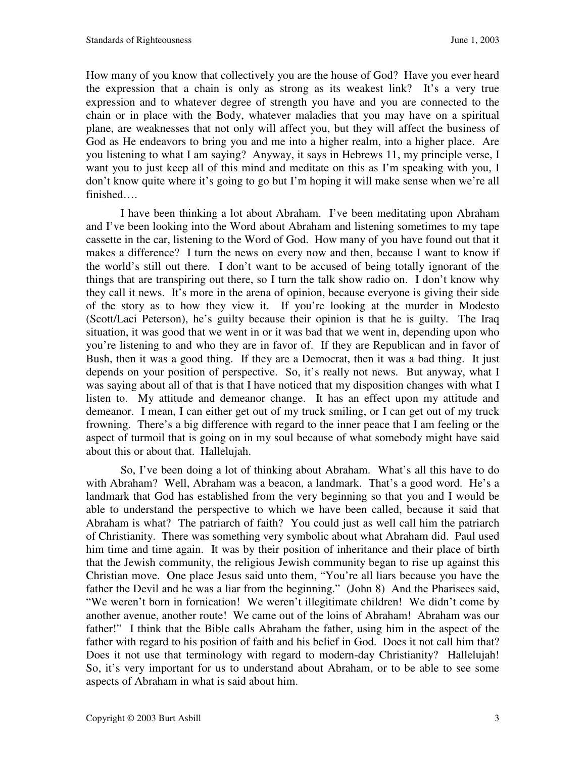How many of you know that collectively you are the house of God? Have you ever heard the expression that a chain is only as strong as its weakest link? It's a very true expression and to whatever degree of strength you have and you are connected to the chain or in place with the Body, whatever maladies that you may have on a spiritual plane, are weaknesses that not only will affect you, but they will affect the business of God as He endeavors to bring you and me into a higher realm, into a higher place. Are you listening to what I am saying? Anyway, it says in Hebrews 11, my principle verse, I want you to just keep all of this mind and meditate on this as I'm speaking with you, I don't know quite where it's going to go but I'm hoping it will make sense when we're all finished….

 I have been thinking a lot about Abraham. I've been meditating upon Abraham and I've been looking into the Word about Abraham and listening sometimes to my tape cassette in the car, listening to the Word of God. How many of you have found out that it makes a difference? I turn the news on every now and then, because I want to know if the world's still out there. I don't want to be accused of being totally ignorant of the things that are transpiring out there, so I turn the talk show radio on. I don't know why they call it news. It's more in the arena of opinion, because everyone is giving their side of the story as to how they view it. If you're looking at the murder in Modesto (Scott/Laci Peterson), he's guilty because their opinion is that he is guilty. The Iraq situation, it was good that we went in or it was bad that we went in, depending upon who you're listening to and who they are in favor of. If they are Republican and in favor of Bush, then it was a good thing. If they are a Democrat, then it was a bad thing. It just depends on your position of perspective. So, it's really not news. But anyway, what I was saying about all of that is that I have noticed that my disposition changes with what I listen to. My attitude and demeanor change. It has an effect upon my attitude and demeanor. I mean, I can either get out of my truck smiling, or I can get out of my truck frowning. There's a big difference with regard to the inner peace that I am feeling or the aspect of turmoil that is going on in my soul because of what somebody might have said about this or about that. Hallelujah.

 So, I've been doing a lot of thinking about Abraham. What's all this have to do with Abraham? Well, Abraham was a beacon, a landmark. That's a good word. He's a landmark that God has established from the very beginning so that you and I would be able to understand the perspective to which we have been called, because it said that Abraham is what? The patriarch of faith? You could just as well call him the patriarch of Christianity. There was something very symbolic about what Abraham did. Paul used him time and time again. It was by their position of inheritance and their place of birth that the Jewish community, the religious Jewish community began to rise up against this Christian move. One place Jesus said unto them, "You're all liars because you have the father the Devil and he was a liar from the beginning." (John 8) And the Pharisees said, "We weren't born in fornication! We weren't illegitimate children! We didn't come by another avenue, another route! We came out of the loins of Abraham! Abraham was our father!" I think that the Bible calls Abraham the father, using him in the aspect of the father with regard to his position of faith and his belief in God. Does it not call him that? Does it not use that terminology with regard to modern-day Christianity? Hallelujah! So, it's very important for us to understand about Abraham, or to be able to see some aspects of Abraham in what is said about him.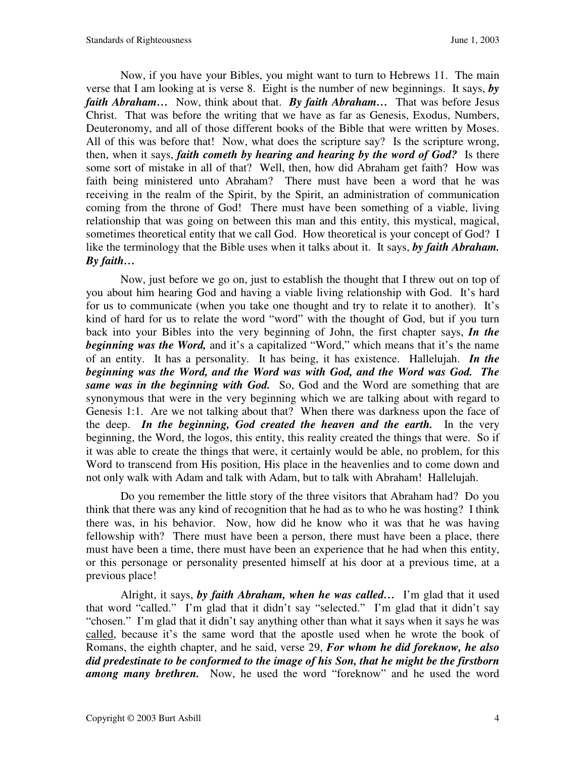Now, if you have your Bibles, you might want to turn to Hebrews 11. The main verse that I am looking at is verse 8. Eight is the number of new beginnings. It says, *by faith Abraham…* Now, think about that. *By faith Abraham…* That was before Jesus Christ. That was before the writing that we have as far as Genesis, Exodus, Numbers, Deuteronomy, and all of those different books of the Bible that were written by Moses. All of this was before that! Now, what does the scripture say? Is the scripture wrong, then, when it says, *faith cometh by hearing and hearing by the word of God?* Is there some sort of mistake in all of that? Well, then, how did Abraham get faith? How was faith being ministered unto Abraham? There must have been a word that he was receiving in the realm of the Spirit, by the Spirit, an administration of communication coming from the throne of God! There must have been something of a viable, living relationship that was going on between this man and this entity, this mystical, magical, sometimes theoretical entity that we call God. How theoretical is your concept of God? I like the terminology that the Bible uses when it talks about it. It says, *by faith Abraham. By faith…*

 Now, just before we go on, just to establish the thought that I threw out on top of you about him hearing God and having a viable living relationship with God. It's hard for us to communicate (when you take one thought and try to relate it to another). It's kind of hard for us to relate the word "word" with the thought of God, but if you turn back into your Bibles into the very beginning of John, the first chapter says, *In the beginning was the Word,* and it's a capitalized "Word," which means that it's the name of an entity. It has a personality. It has being, it has existence. Hallelujah. *In the beginning was the Word, and the Word was with God, and the Word was God. The same was in the beginning with God.* So, God and the Word are something that are synonymous that were in the very beginning which we are talking about with regard to Genesis 1:1. Are we not talking about that? When there was darkness upon the face of the deep. *In the beginning, God created the heaven and the earth.*In the very beginning, the Word, the logos, this entity, this reality created the things that were. So if it was able to create the things that were, it certainly would be able, no problem, for this Word to transcend from His position, His place in the heavenlies and to come down and not only walk with Adam and talk with Adam, but to talk with Abraham! Hallelujah.

 Do you remember the little story of the three visitors that Abraham had? Do you think that there was any kind of recognition that he had as to who he was hosting? I think there was, in his behavior. Now, how did he know who it was that he was having fellowship with? There must have been a person, there must have been a place, there must have been a time, there must have been an experience that he had when this entity, or this personage or personality presented himself at his door at a previous time, at a previous place!

 Alright, it says, *by faith Abraham, when he was called…* I'm glad that it used that word "called." I'm glad that it didn't say "selected." I'm glad that it didn't say "chosen." I'm glad that it didn't say anything other than what it says when it says he was called, because it's the same word that the apostle used when he wrote the book of Romans, the eighth chapter, and he said, verse 29, *For whom he did foreknow, he also did predestinate to be conformed to the image of his Son, that he might be the firstborn among many brethren.* Now, he used the word "foreknow" and he used the word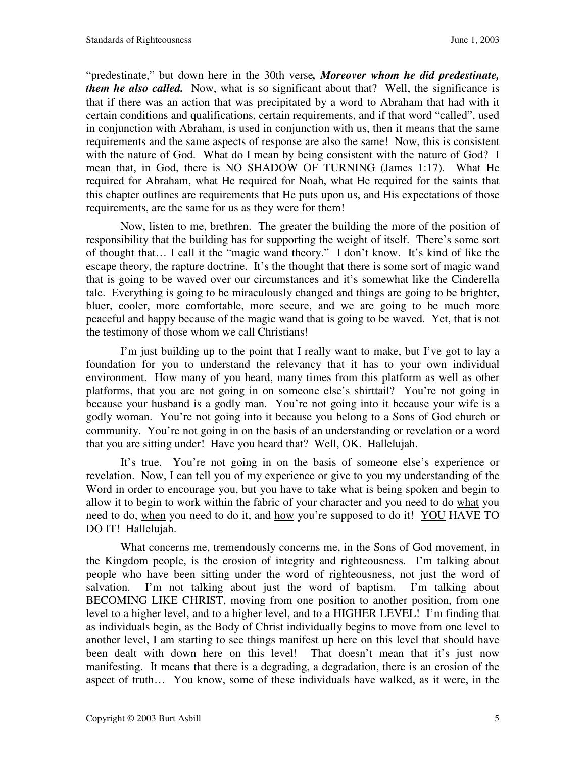"predestinate," but down here in the 30th verse*, Moreover whom he did predestinate, them he also called.* Now, what is so significant about that? Well, the significance is that if there was an action that was precipitated by a word to Abraham that had with it certain conditions and qualifications, certain requirements, and if that word "called", used in conjunction with Abraham, is used in conjunction with us, then it means that the same requirements and the same aspects of response are also the same! Now, this is consistent with the nature of God. What do I mean by being consistent with the nature of God? I mean that, in God, there is NO SHADOW OF TURNING (James 1:17). What He required for Abraham, what He required for Noah, what He required for the saints that this chapter outlines are requirements that He puts upon us, and His expectations of those requirements, are the same for us as they were for them!

 Now, listen to me, brethren. The greater the building the more of the position of responsibility that the building has for supporting the weight of itself. There's some sort of thought that… I call it the "magic wand theory." I don't know. It's kind of like the escape theory, the rapture doctrine. It's the thought that there is some sort of magic wand that is going to be waved over our circumstances and it's somewhat like the Cinderella tale. Everything is going to be miraculously changed and things are going to be brighter, bluer, cooler, more comfortable, more secure, and we are going to be much more peaceful and happy because of the magic wand that is going to be waved. Yet, that is not the testimony of those whom we call Christians!

 I'm just building up to the point that I really want to make, but I've got to lay a foundation for you to understand the relevancy that it has to your own individual environment. How many of you heard, many times from this platform as well as other platforms, that you are not going in on someone else's shirttail? You're not going in because your husband is a godly man. You're not going into it because your wife is a godly woman. You're not going into it because you belong to a Sons of God church or community. You're not going in on the basis of an understanding or revelation or a word that you are sitting under! Have you heard that? Well, OK. Hallelujah.

 It's true. You're not going in on the basis of someone else's experience or revelation. Now, I can tell you of my experience or give to you my understanding of the Word in order to encourage you, but you have to take what is being spoken and begin to allow it to begin to work within the fabric of your character and you need to do what you need to do, when you need to do it, and how you're supposed to do it! YOU HAVE TO DO IT! Hallelujah.

 What concerns me, tremendously concerns me, in the Sons of God movement, in the Kingdom people, is the erosion of integrity and righteousness. I'm talking about people who have been sitting under the word of righteousness, not just the word of salvation. I'm not talking about just the word of baptism. I'm talking about BECOMING LIKE CHRIST, moving from one position to another position, from one level to a higher level, and to a higher level, and to a HIGHER LEVEL! I'm finding that as individuals begin, as the Body of Christ individually begins to move from one level to another level, I am starting to see things manifest up here on this level that should have been dealt with down here on this level! That doesn't mean that it's just now manifesting. It means that there is a degrading, a degradation, there is an erosion of the aspect of truth… You know, some of these individuals have walked, as it were, in the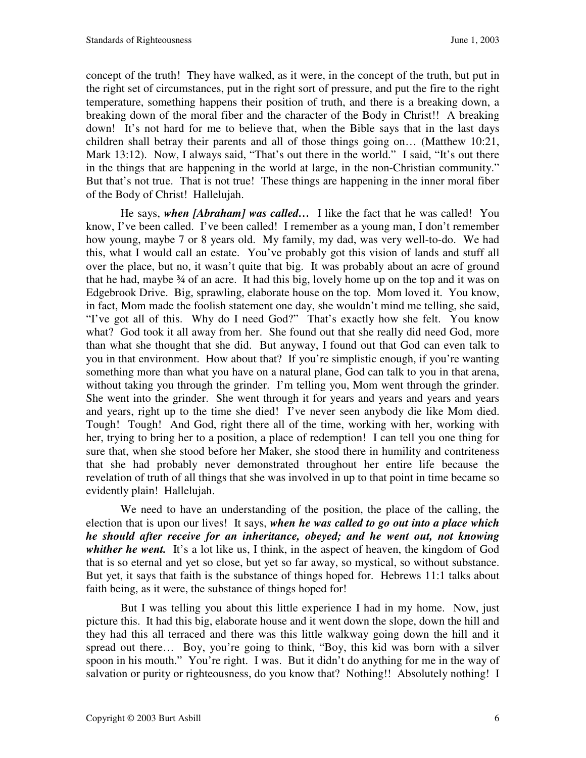concept of the truth! They have walked, as it were, in the concept of the truth, but put in the right set of circumstances, put in the right sort of pressure, and put the fire to the right temperature, something happens their position of truth, and there is a breaking down, a breaking down of the moral fiber and the character of the Body in Christ!! A breaking down! It's not hard for me to believe that, when the Bible says that in the last days children shall betray their parents and all of those things going on… (Matthew 10:21, Mark 13:12). Now, I always said, "That's out there in the world." I said, "It's out there in the things that are happening in the world at large, in the non-Christian community." But that's not true. That is not true! These things are happening in the inner moral fiber of the Body of Christ! Hallelujah.

 He says, *when [Abraham] was called…* I like the fact that he was called! You know, I've been called. I've been called! I remember as a young man, I don't remember how young, maybe 7 or 8 years old. My family, my dad, was very well-to-do. We had this, what I would call an estate. You've probably got this vision of lands and stuff all over the place, but no, it wasn't quite that big. It was probably about an acre of ground that he had, maybe  $\frac{3}{4}$  of an acre. It had this big, lovely home up on the top and it was on Edgebrook Drive. Big, sprawling, elaborate house on the top. Mom loved it. You know, in fact, Mom made the foolish statement one day, she wouldn't mind me telling, she said, "I've got all of this. Why do I need God?" That's exactly how she felt. You know what? God took it all away from her. She found out that she really did need God, more than what she thought that she did. But anyway, I found out that God can even talk to you in that environment. How about that? If you're simplistic enough, if you're wanting something more than what you have on a natural plane, God can talk to you in that arena, without taking you through the grinder. I'm telling you, Mom went through the grinder. She went into the grinder. She went through it for years and years and years and years and years, right up to the time she died! I've never seen anybody die like Mom died. Tough! Tough! And God, right there all of the time, working with her, working with her, trying to bring her to a position, a place of redemption! I can tell you one thing for sure that, when she stood before her Maker, she stood there in humility and contriteness that she had probably never demonstrated throughout her entire life because the revelation of truth of all things that she was involved in up to that point in time became so evidently plain! Hallelujah.

 We need to have an understanding of the position, the place of the calling, the election that is upon our lives! It says, *when he was called to go out into a place which he should after receive for an inheritance, obeyed; and he went out, not knowing*  whither he went. It's a lot like us, I think, in the aspect of heaven, the kingdom of God that is so eternal and yet so close, but yet so far away, so mystical, so without substance. But yet, it says that faith is the substance of things hoped for. Hebrews 11:1 talks about faith being, as it were, the substance of things hoped for!

 But I was telling you about this little experience I had in my home. Now, just picture this. It had this big, elaborate house and it went down the slope, down the hill and they had this all terraced and there was this little walkway going down the hill and it spread out there… Boy, you're going to think, "Boy, this kid was born with a silver spoon in his mouth." You're right. I was. But it didn't do anything for me in the way of salvation or purity or righteousness, do you know that? Nothing!! Absolutely nothing! I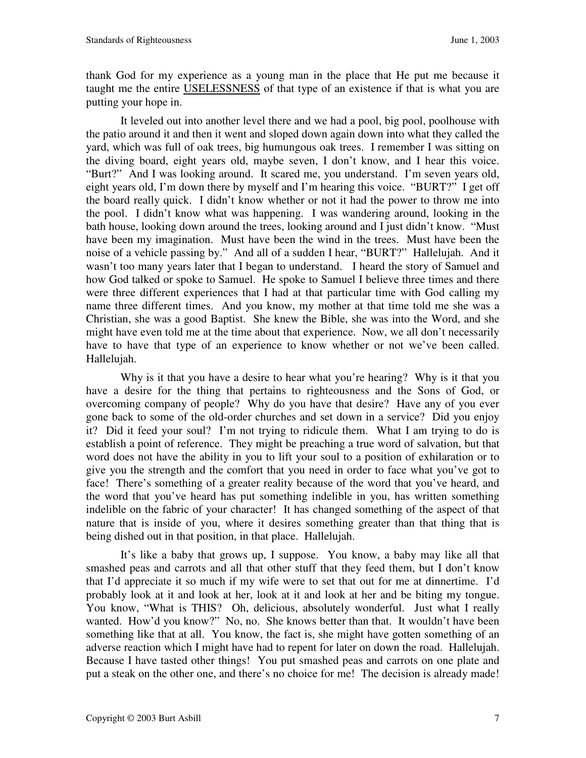thank God for my experience as a young man in the place that He put me because it taught me the entire USELESSNESS of that type of an existence if that is what you are putting your hope in.

 It leveled out into another level there and we had a pool, big pool, poolhouse with the patio around it and then it went and sloped down again down into what they called the yard, which was full of oak trees, big humungous oak trees. I remember I was sitting on the diving board, eight years old, maybe seven, I don't know, and I hear this voice. "Burt?" And I was looking around. It scared me, you understand. I'm seven years old, eight years old, I'm down there by myself and I'm hearing this voice. "BURT?" I get off the board really quick. I didn't know whether or not it had the power to throw me into the pool. I didn't know what was happening. I was wandering around, looking in the bath house, looking down around the trees, looking around and I just didn't know. "Must have been my imagination. Must have been the wind in the trees. Must have been the noise of a vehicle passing by." And all of a sudden I hear, "BURT?" Hallelujah. And it wasn't too many years later that I began to understand. I heard the story of Samuel and how God talked or spoke to Samuel. He spoke to Samuel I believe three times and there were three different experiences that I had at that particular time with God calling my name three different times. And you know, my mother at that time told me she was a Christian, she was a good Baptist. She knew the Bible, she was into the Word, and she might have even told me at the time about that experience. Now, we all don't necessarily have to have that type of an experience to know whether or not we've been called. Hallelujah.

Why is it that you have a desire to hear what you're hearing? Why is it that you have a desire for the thing that pertains to righteousness and the Sons of God, or overcoming company of people? Why do you have that desire? Have any of you ever gone back to some of the old-order churches and set down in a service? Did you enjoy it? Did it feed your soul? I'm not trying to ridicule them. What I am trying to do is establish a point of reference. They might be preaching a true word of salvation, but that word does not have the ability in you to lift your soul to a position of exhilaration or to give you the strength and the comfort that you need in order to face what you've got to face! There's something of a greater reality because of the word that you've heard, and the word that you've heard has put something indelible in you, has written something indelible on the fabric of your character! It has changed something of the aspect of that nature that is inside of you, where it desires something greater than that thing that is being dished out in that position, in that place. Hallelujah.

 It's like a baby that grows up, I suppose. You know, a baby may like all that smashed peas and carrots and all that other stuff that they feed them, but I don't know that I'd appreciate it so much if my wife were to set that out for me at dinnertime. I'd probably look at it and look at her, look at it and look at her and be biting my tongue. You know, "What is THIS? Oh, delicious, absolutely wonderful. Just what I really wanted. How'd you know?" No, no. She knows better than that. It wouldn't have been something like that at all. You know, the fact is, she might have gotten something of an adverse reaction which I might have had to repent for later on down the road. Hallelujah. Because I have tasted other things! You put smashed peas and carrots on one plate and put a steak on the other one, and there's no choice for me! The decision is already made!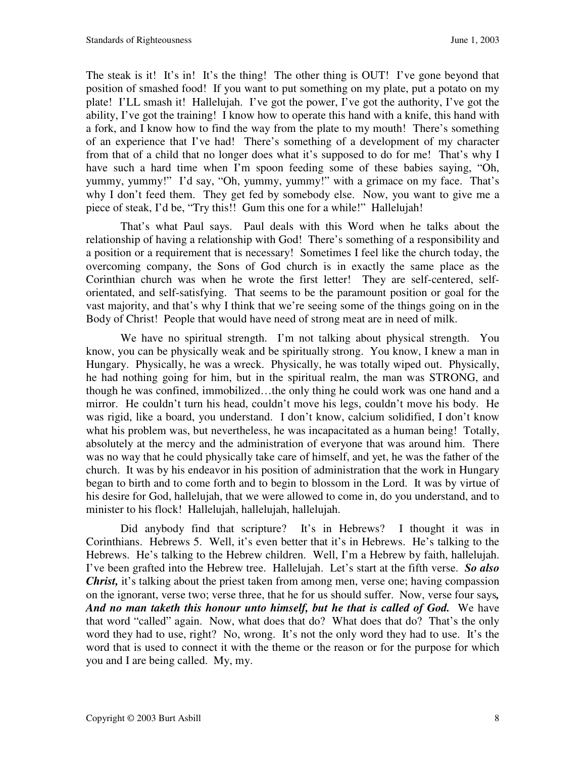The steak is it! It's in! It's the thing! The other thing is OUT! I've gone beyond that position of smashed food! If you want to put something on my plate, put a potato on my plate! I'LL smash it! Hallelujah. I've got the power, I've got the authority, I've got the ability, I've got the training! I know how to operate this hand with a knife, this hand with a fork, and I know how to find the way from the plate to my mouth! There's something of an experience that I've had! There's something of a development of my character from that of a child that no longer does what it's supposed to do for me! That's why I have such a hard time when I'm spoon feeding some of these babies saying, "Oh, yummy, yummy!" I'd say, "Oh, yummy, yummy!" with a grimace on my face. That's why I don't feed them. They get fed by somebody else. Now, you want to give me a piece of steak, I'd be, "Try this!! Gum this one for a while!" Hallelujah!

 That's what Paul says. Paul deals with this Word when he talks about the relationship of having a relationship with God! There's something of a responsibility and a position or a requirement that is necessary! Sometimes I feel like the church today, the overcoming company, the Sons of God church is in exactly the same place as the Corinthian church was when he wrote the first letter! They are self-centered, selforientated, and self-satisfying. That seems to be the paramount position or goal for the vast majority, and that's why I think that we're seeing some of the things going on in the Body of Christ! People that would have need of strong meat are in need of milk.

We have no spiritual strength. I'm not talking about physical strength. You know, you can be physically weak and be spiritually strong. You know, I knew a man in Hungary. Physically, he was a wreck. Physically, he was totally wiped out. Physically, he had nothing going for him, but in the spiritual realm, the man was STRONG, and though he was confined, immobilized…the only thing he could work was one hand and a mirror. He couldn't turn his head, couldn't move his legs, couldn't move his body. He was rigid, like a board, you understand. I don't know, calcium solidified, I don't know what his problem was, but nevertheless, he was incapacitated as a human being! Totally, absolutely at the mercy and the administration of everyone that was around him. There was no way that he could physically take care of himself, and yet, he was the father of the church. It was by his endeavor in his position of administration that the work in Hungary began to birth and to come forth and to begin to blossom in the Lord. It was by virtue of his desire for God, hallelujah, that we were allowed to come in, do you understand, and to minister to his flock! Hallelujah, hallelujah, hallelujah.

Did anybody find that scripture? It's in Hebrews? I thought it was in Corinthians. Hebrews 5. Well, it's even better that it's in Hebrews. He's talking to the Hebrews. He's talking to the Hebrew children. Well, I'm a Hebrew by faith, hallelujah. I've been grafted into the Hebrew tree. Hallelujah. Let's start at the fifth verse. *So also Christ*, it's talking about the priest taken from among men, verse one; having compassion on the ignorant, verse two; verse three, that he for us should suffer. Now, verse four says*, And no man taketh this honour unto himself, but he that is called of God.* We have that word "called" again. Now, what does that do? What does that do? That's the only word they had to use, right? No, wrong. It's not the only word they had to use. It's the word that is used to connect it with the theme or the reason or for the purpose for which you and I are being called. My, my.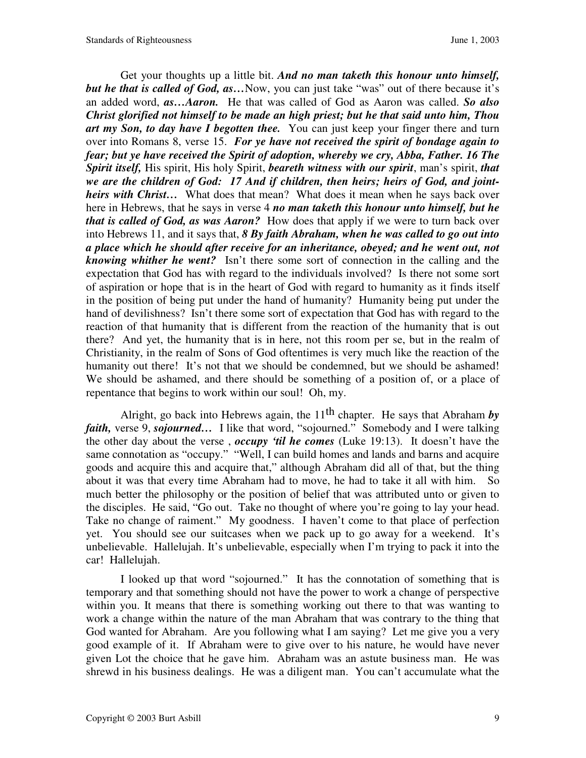Get your thoughts up a little bit. *And no man taketh this honour unto himself, but he that is called of God, as…*Now, you can just take "was" out of there because it's an added word, *as…Aaron.* He that was called of God as Aaron was called. *So also Christ glorified not himself to be made an high priest; but he that said unto him, Thou art my Son, to day have I begotten thee.* You can just keep your finger there and turn over into Romans 8, verse 15. *For ye have not received the spirit of bondage again to fear; but ye have received the Spirit of adoption, whereby we cry, Abba, Father. 16 The Spirit itself,* His spirit, His holy Spirit, *beareth witness with our spirit*, man's spirit, *that we are the children of God: 17 And if children, then heirs; heirs of God, and jointheirs with Christ…* What does that mean? What does it mean when he says back over here in Hebrews, that he says in verse 4 *no man taketh this honour unto himself, but he that is called of God, as was Aaron?* How does that apply if we were to turn back over into Hebrews 11, and it says that, *8 By faith Abraham, when he was called to go out into a place which he should after receive for an inheritance, obeyed; and he went out, not knowing whither he went?* Isn't there some sort of connection in the calling and the expectation that God has with regard to the individuals involved? Is there not some sort of aspiration or hope that is in the heart of God with regard to humanity as it finds itself in the position of being put under the hand of humanity? Humanity being put under the hand of devilishness? Isn't there some sort of expectation that God has with regard to the reaction of that humanity that is different from the reaction of the humanity that is out there? And yet, the humanity that is in here, not this room per se, but in the realm of Christianity, in the realm of Sons of God oftentimes is very much like the reaction of the humanity out there! It's not that we should be condemned, but we should be ashamed! We should be ashamed, and there should be something of a position of, or a place of repentance that begins to work within our soul! Oh, my.

Alright, go back into Hebrews again, the  $11<sup>th</sup>$  chapter. He says that Abraham by *faith,* verse 9, *sojourned...* I like that word, "sojourned." Somebody and I were talking the other day about the verse , *occupy 'til he comes* (Luke 19:13). It doesn't have the same connotation as "occupy." "Well, I can build homes and lands and barns and acquire goods and acquire this and acquire that," although Abraham did all of that, but the thing about it was that every time Abraham had to move, he had to take it all with him. So much better the philosophy or the position of belief that was attributed unto or given to the disciples. He said, "Go out. Take no thought of where you're going to lay your head. Take no change of raiment." My goodness. I haven't come to that place of perfection yet. You should see our suitcases when we pack up to go away for a weekend. It's unbelievable. Hallelujah. It's unbelievable, especially when I'm trying to pack it into the car! Hallelujah.

 I looked up that word "sojourned." It has the connotation of something that is temporary and that something should not have the power to work a change of perspective within you. It means that there is something working out there to that was wanting to work a change within the nature of the man Abraham that was contrary to the thing that God wanted for Abraham. Are you following what I am saying? Let me give you a very good example of it. If Abraham were to give over to his nature, he would have never given Lot the choice that he gave him. Abraham was an astute business man. He was shrewd in his business dealings. He was a diligent man. You can't accumulate what the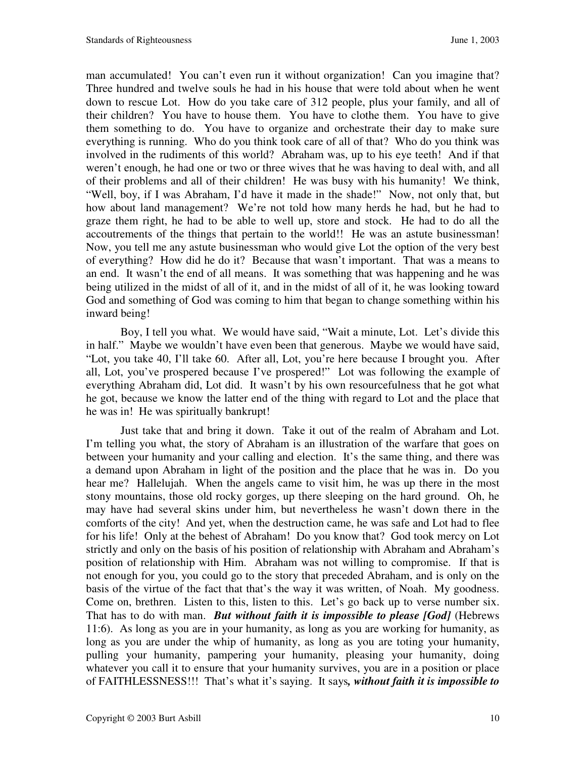man accumulated! You can't even run it without organization! Can you imagine that? Three hundred and twelve souls he had in his house that were told about when he went down to rescue Lot. How do you take care of 312 people, plus your family, and all of their children? You have to house them. You have to clothe them. You have to give them something to do. You have to organize and orchestrate their day to make sure everything is running. Who do you think took care of all of that? Who do you think was involved in the rudiments of this world? Abraham was, up to his eye teeth! And if that weren't enough, he had one or two or three wives that he was having to deal with, and all of their problems and all of their children! He was busy with his humanity! We think, "Well, boy, if I was Abraham, I'd have it made in the shade!" Now, not only that, but how about land management? We're not told how many herds he had, but he had to graze them right, he had to be able to well up, store and stock. He had to do all the accoutrements of the things that pertain to the world!! He was an astute businessman! Now, you tell me any astute businessman who would give Lot the option of the very best of everything? How did he do it? Because that wasn't important. That was a means to an end. It wasn't the end of all means. It was something that was happening and he was being utilized in the midst of all of it, and in the midst of all of it, he was looking toward God and something of God was coming to him that began to change something within his inward being!

 Boy, I tell you what. We would have said, "Wait a minute, Lot. Let's divide this in half." Maybe we wouldn't have even been that generous. Maybe we would have said, "Lot, you take 40, I'll take 60. After all, Lot, you're here because I brought you. After all, Lot, you've prospered because I've prospered!" Lot was following the example of everything Abraham did, Lot did. It wasn't by his own resourcefulness that he got what he got, because we know the latter end of the thing with regard to Lot and the place that he was in! He was spiritually bankrupt!

 Just take that and bring it down. Take it out of the realm of Abraham and Lot. I'm telling you what, the story of Abraham is an illustration of the warfare that goes on between your humanity and your calling and election. It's the same thing, and there was a demand upon Abraham in light of the position and the place that he was in. Do you hear me? Hallelujah. When the angels came to visit him, he was up there in the most stony mountains, those old rocky gorges, up there sleeping on the hard ground. Oh, he may have had several skins under him, but nevertheless he wasn't down there in the comforts of the city! And yet, when the destruction came, he was safe and Lot had to flee for his life! Only at the behest of Abraham! Do you know that? God took mercy on Lot strictly and only on the basis of his position of relationship with Abraham and Abraham's position of relationship with Him. Abraham was not willing to compromise. If that is not enough for you, you could go to the story that preceded Abraham, and is only on the basis of the virtue of the fact that that's the way it was written, of Noah. My goodness. Come on, brethren. Listen to this, listen to this. Let's go back up to verse number six. That has to do with man. *But without faith it is impossible to please [God]* (Hebrews 11:6). As long as you are in your humanity, as long as you are working for humanity, as long as you are under the whip of humanity, as long as you are toting your humanity, pulling your humanity, pampering your humanity, pleasing your humanity, doing whatever you call it to ensure that your humanity survives, you are in a position or place of FAITHLESSNESS!!! That's what it's saying. It says*, without faith it is impossible to*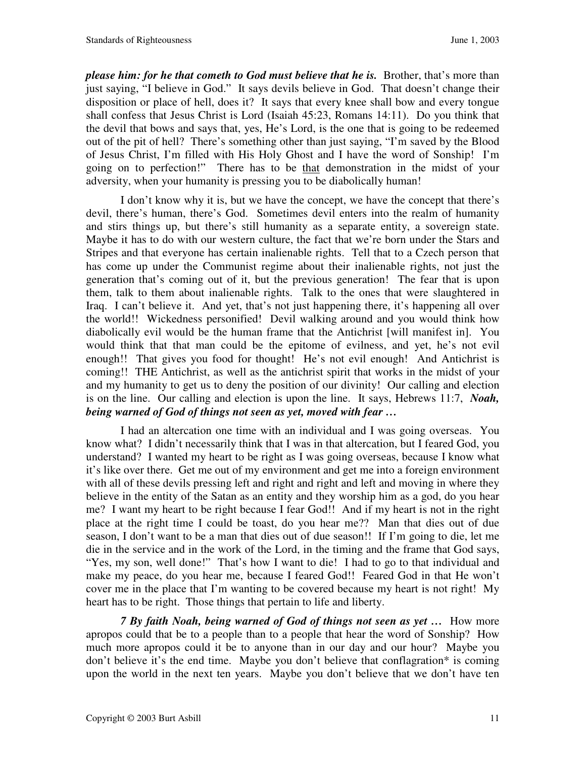*please him: for he that cometh to God must believe that he is.* Brother, that's more than just saying, "I believe in God." It says devils believe in God. That doesn't change their disposition or place of hell, does it? It says that every knee shall bow and every tongue shall confess that Jesus Christ is Lord (Isaiah 45:23, Romans 14:11). Do you think that the devil that bows and says that, yes, He's Lord, is the one that is going to be redeemed out of the pit of hell? There's something other than just saying, "I'm saved by the Blood of Jesus Christ, I'm filled with His Holy Ghost and I have the word of Sonship! I'm going on to perfection!" There has to be that demonstration in the midst of your adversity, when your humanity is pressing you to be diabolically human!

 I don't know why it is, but we have the concept, we have the concept that there's devil, there's human, there's God. Sometimes devil enters into the realm of humanity and stirs things up, but there's still humanity as a separate entity, a sovereign state. Maybe it has to do with our western culture, the fact that we're born under the Stars and Stripes and that everyone has certain inalienable rights. Tell that to a Czech person that has come up under the Communist regime about their inalienable rights, not just the generation that's coming out of it, but the previous generation! The fear that is upon them, talk to them about inalienable rights. Talk to the ones that were slaughtered in Iraq. I can't believe it. And yet, that's not just happening there, it's happening all over the world!! Wickedness personified! Devil walking around and you would think how diabolically evil would be the human frame that the Antichrist [will manifest in]. You would think that that man could be the epitome of evilness, and yet, he's not evil enough!! That gives you food for thought! He's not evil enough! And Antichrist is coming!! THE Antichrist, as well as the antichrist spirit that works in the midst of your and my humanity to get us to deny the position of our divinity! Our calling and election is on the line. Our calling and election is upon the line. It says, Hebrews 11:7, *Noah, being warned of God of things not seen as yet, moved with fear …*

 I had an altercation one time with an individual and I was going overseas. You know what? I didn't necessarily think that I was in that altercation, but I feared God, you understand? I wanted my heart to be right as I was going overseas, because I know what it's like over there. Get me out of my environment and get me into a foreign environment with all of these devils pressing left and right and right and left and moving in where they believe in the entity of the Satan as an entity and they worship him as a god, do you hear me? I want my heart to be right because I fear God!! And if my heart is not in the right place at the right time I could be toast, do you hear me?? Man that dies out of due season, I don't want to be a man that dies out of due season!! If I'm going to die, let me die in the service and in the work of the Lord, in the timing and the frame that God says, "Yes, my son, well done!" That's how I want to die! I had to go to that individual and make my peace, do you hear me, because I feared God!! Feared God in that He won't cover me in the place that I'm wanting to be covered because my heart is not right! My heart has to be right. Those things that pertain to life and liberty.

*7 By faith Noah, being warned of God of things not seen as yet …* How more apropos could that be to a people than to a people that hear the word of Sonship? How much more apropos could it be to anyone than in our day and our hour? Maybe you don't believe it's the end time. Maybe you don't believe that conflagration\* is coming upon the world in the next ten years. Maybe you don't believe that we don't have ten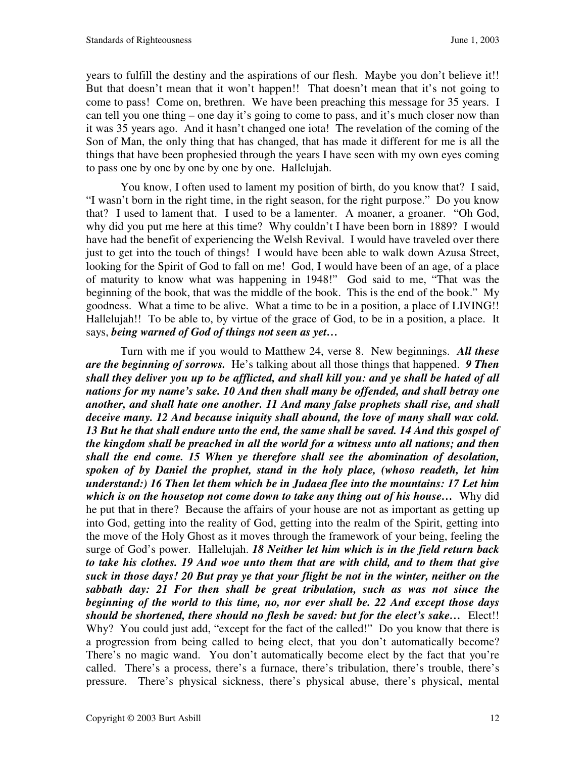years to fulfill the destiny and the aspirations of our flesh. Maybe you don't believe it!! But that doesn't mean that it won't happen!! That doesn't mean that it's not going to come to pass! Come on, brethren. We have been preaching this message for 35 years. I can tell you one thing – one day it's going to come to pass, and it's much closer now than it was 35 years ago. And it hasn't changed one iota! The revelation of the coming of the Son of Man, the only thing that has changed, that has made it different for me is all the things that have been prophesied through the years I have seen with my own eyes coming to pass one by one by one by one by one. Hallelujah.

 You know, I often used to lament my position of birth, do you know that? I said, "I wasn't born in the right time, in the right season, for the right purpose." Do you know that? I used to lament that. I used to be a lamenter. A moaner, a groaner. "Oh God, why did you put me here at this time? Why couldn't I have been born in 1889? I would have had the benefit of experiencing the Welsh Revival. I would have traveled over there just to get into the touch of things! I would have been able to walk down Azusa Street, looking for the Spirit of God to fall on me! God, I would have been of an age, of a place of maturity to know what was happening in 1948!" God said to me, "That was the beginning of the book, that was the middle of the book. This is the end of the book." My goodness. What a time to be alive. What a time to be in a position, a place of LIVING!! Hallelujah!! To be able to, by virtue of the grace of God, to be in a position, a place. It says, *being warned of God of things not seen as yet…*

 Turn with me if you would to Matthew 24, verse 8. New beginnings. *All these are the beginning of sorrows.* He's talking about all those things that happened. *9 Then shall they deliver you up to be afflicted, and shall kill you: and ye shall be hated of all nations for my name's sake. 10 And then shall many be offended, and shall betray one another, and shall hate one another. 11 And many false prophets shall rise, and shall deceive many. 12 And because iniquity shall abound, the love of many shall wax cold. 13 But he that shall endure unto the end, the same shall be saved. 14 And this gospel of the kingdom shall be preached in all the world for a witness unto all nations; and then shall the end come. 15 When ye therefore shall see the abomination of desolation, spoken of by Daniel the prophet, stand in the holy place, (whoso readeth, let him understand:) 16 Then let them which be in Judaea flee into the mountains: 17 Let him which is on the housetop not come down to take any thing out of his house…* Why did he put that in there? Because the affairs of your house are not as important as getting up into God, getting into the reality of God, getting into the realm of the Spirit, getting into the move of the Holy Ghost as it moves through the framework of your being, feeling the surge of God's power. Hallelujah. *18 Neither let him which is in the field return back to take his clothes. 19 And woe unto them that are with child, and to them that give suck in those days! 20 But pray ye that your flight be not in the winter, neither on the sabbath day: 21 For then shall be great tribulation, such as was not since the beginning of the world to this time, no, nor ever shall be. 22 And except those days should be shortened, there should no flesh be saved: but for the elect's sake…* Elect!! Why? You could just add, "except for the fact of the called!" Do you know that there is a progression from being called to being elect, that you don't automatically become? There's no magic wand. You don't automatically become elect by the fact that you're called. There's a process, there's a furnace, there's tribulation, there's trouble, there's pressure. There's physical sickness, there's physical abuse, there's physical, mental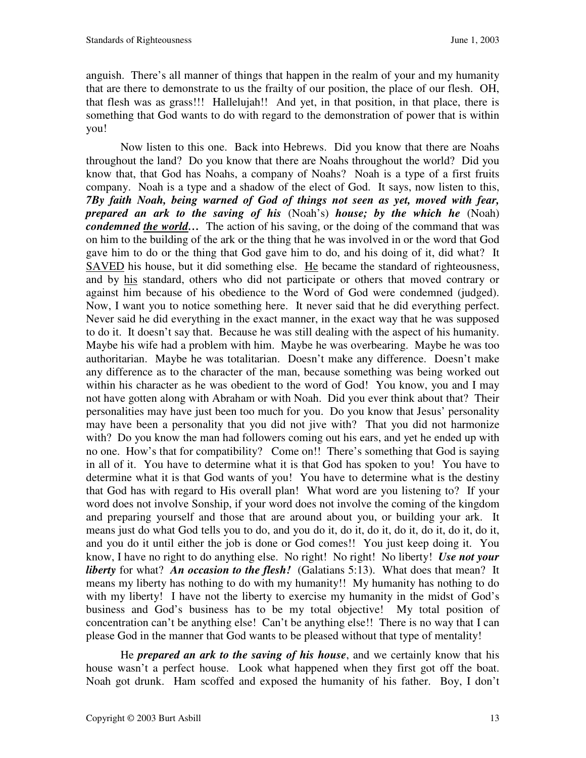anguish. There's all manner of things that happen in the realm of your and my humanity that are there to demonstrate to us the frailty of our position, the place of our flesh. OH, that flesh was as grass!!! Hallelujah!! And yet, in that position, in that place, there is something that God wants to do with regard to the demonstration of power that is within you!

 Now listen to this one. Back into Hebrews. Did you know that there are Noahs throughout the land? Do you know that there are Noahs throughout the world? Did you know that, that God has Noahs, a company of Noahs? Noah is a type of a first fruits company. Noah is a type and a shadow of the elect of God. It says, now listen to this, *7By faith Noah, being warned of God of things not seen as yet, moved with fear, prepared an ark to the saving of his* (Noah's) *house; by the which he* (Noah) *condemned the world*... The action of his saving, or the doing of the command that was on him to the building of the ark or the thing that he was involved in or the word that God gave him to do or the thing that God gave him to do, and his doing of it, did what? It SAVED his house, but it did something else. He became the standard of righteousness, and by his standard, others who did not participate or others that moved contrary or against him because of his obedience to the Word of God were condemned (judged). Now, I want you to notice something here. It never said that he did everything perfect. Never said he did everything in the exact manner, in the exact way that he was supposed to do it. It doesn't say that. Because he was still dealing with the aspect of his humanity. Maybe his wife had a problem with him. Maybe he was overbearing. Maybe he was too authoritarian. Maybe he was totalitarian. Doesn't make any difference. Doesn't make any difference as to the character of the man, because something was being worked out within his character as he was obedient to the word of God! You know, you and I may not have gotten along with Abraham or with Noah. Did you ever think about that? Their personalities may have just been too much for you. Do you know that Jesus' personality may have been a personality that you did not jive with? That you did not harmonize with? Do you know the man had followers coming out his ears, and yet he ended up with no one. How's that for compatibility? Come on!! There's something that God is saying in all of it. You have to determine what it is that God has spoken to you! You have to determine what it is that God wants of you! You have to determine what is the destiny that God has with regard to His overall plan! What word are you listening to? If your word does not involve Sonship, if your word does not involve the coming of the kingdom and preparing yourself and those that are around about you, or building your ark. It means just do what God tells you to do, and you do it, do it, do it, do it, do it, do it, do it, and you do it until either the job is done or God comes!! You just keep doing it. You know, I have no right to do anything else. No right! No right! No liberty! *Use not your liberty* for what? *An occasion to the flesh!* (Galatians 5:13). What does that mean? It means my liberty has nothing to do with my humanity!! My humanity has nothing to do with my liberty! I have not the liberty to exercise my humanity in the midst of God's business and God's business has to be my total objective! My total position of concentration can't be anything else! Can't be anything else!! There is no way that I can please God in the manner that God wants to be pleased without that type of mentality!

 He *prepared an ark to the saving of his house*, and we certainly know that his house wasn't a perfect house. Look what happened when they first got off the boat. Noah got drunk. Ham scoffed and exposed the humanity of his father. Boy, I don't